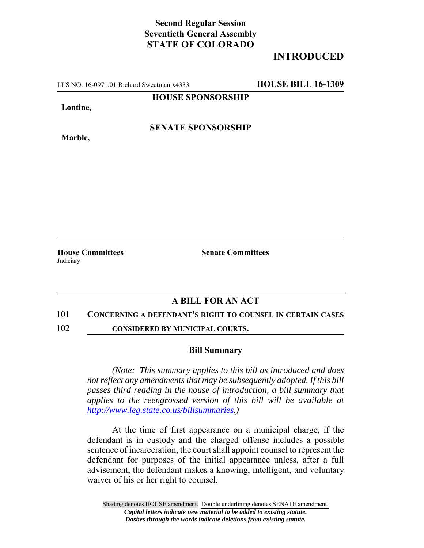## **Second Regular Session Seventieth General Assembly STATE OF COLORADO**

# **INTRODUCED**

LLS NO. 16-0971.01 Richard Sweetman x4333 **HOUSE BILL 16-1309**

## **HOUSE SPONSORSHIP**

**Lontine,**

**Marble,**

**SENATE SPONSORSHIP**

**House Committees Senate Committees** Judiciary

## **A BILL FOR AN ACT**

#### 101 **CONCERNING A DEFENDANT'S RIGHT TO COUNSEL IN CERTAIN CASES**

102 **CONSIDERED BY MUNICIPAL COURTS.**

#### **Bill Summary**

*(Note: This summary applies to this bill as introduced and does not reflect any amendments that may be subsequently adopted. If this bill passes third reading in the house of introduction, a bill summary that applies to the reengrossed version of this bill will be available at http://www.leg.state.co.us/billsummaries.)*

At the time of first appearance on a municipal charge, if the defendant is in custody and the charged offense includes a possible sentence of incarceration, the court shall appoint counsel to represent the defendant for purposes of the initial appearance unless, after a full advisement, the defendant makes a knowing, intelligent, and voluntary waiver of his or her right to counsel.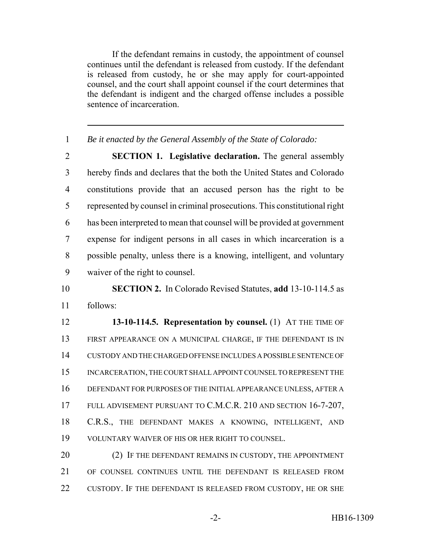If the defendant remains in custody, the appointment of counsel continues until the defendant is released from custody. If the defendant is released from custody, he or she may apply for court-appointed counsel, and the court shall appoint counsel if the court determines that the defendant is indigent and the charged offense includes a possible sentence of incarceration.

*Be it enacted by the General Assembly of the State of Colorado:*

 **SECTION 1. Legislative declaration.** The general assembly hereby finds and declares that the both the United States and Colorado constitutions provide that an accused person has the right to be represented by counsel in criminal prosecutions. This constitutional right has been interpreted to mean that counsel will be provided at government expense for indigent persons in all cases in which incarceration is a possible penalty, unless there is a knowing, intelligent, and voluntary waiver of the right to counsel.

# **SECTION 2.** In Colorado Revised Statutes, **add** 13-10-114.5 as follows:

 **13-10-114.5. Representation by counsel.** (1) AT THE TIME OF FIRST APPEARANCE ON A MUNICIPAL CHARGE, IF THE DEFENDANT IS IN CUSTODY AND THE CHARGED OFFENSE INCLUDES A POSSIBLE SENTENCE OF INCARCERATION, THE COURT SHALL APPOINT COUNSEL TO REPRESENT THE DEFENDANT FOR PURPOSES OF THE INITIAL APPEARANCE UNLESS, AFTER A FULL ADVISEMENT PURSUANT TO C.M.C.R. 210 AND SECTION 16-7-207, 18 C.R.S., THE DEFENDANT MAKES A KNOWING, INTELLIGENT, AND VOLUNTARY WAIVER OF HIS OR HER RIGHT TO COUNSEL.

20 (2) IF THE DEFENDANT REMAINS IN CUSTODY, THE APPOINTMENT OF COUNSEL CONTINUES UNTIL THE DEFENDANT IS RELEASED FROM 22 CUSTODY. IF THE DEFENDANT IS RELEASED FROM CUSTODY, HE OR SHE